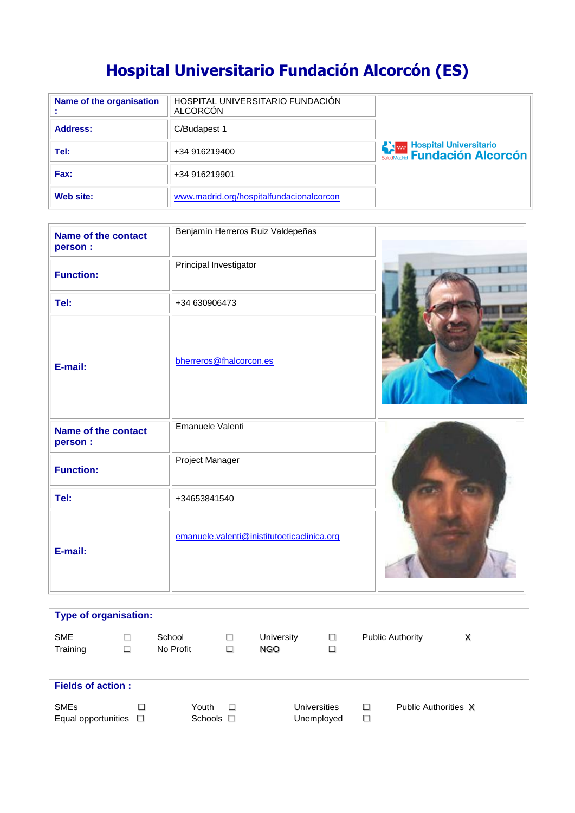# **Hospital Universitario Fundación Alcorcón (ES)**

| Name of the organisation | HOSPITAL UNIVERSITARIO FUNDACIÓN<br><b>ALCORCON</b> |                                                                                   |  |  |
|--------------------------|-----------------------------------------------------|-----------------------------------------------------------------------------------|--|--|
| Address:                 | C/Budapest 1                                        |                                                                                   |  |  |
| Tel:                     | +34 916219400                                       | <b>Example 10 Hospital Universitario</b><br>SaludMadrid <b>Fundación Alcorcón</b> |  |  |
| Fax:                     | +34 916219901                                       |                                                                                   |  |  |
| Web site:                | www.madrid.org/hospitalfundacionalcorcon            |                                                                                   |  |  |

| <b>Name of the contact</b><br>person : | Benjamín Herreros Ruiz Valdepeñas           |  |
|----------------------------------------|---------------------------------------------|--|
| <b>Function:</b>                       | Principal Investigator                      |  |
| Tel:                                   | +34 630906473                               |  |
| E-mail:                                | bherreros@fhalcorcon.es                     |  |
| <b>Name of the contact</b><br>person : | Emanuele Valenti                            |  |
| <b>Function:</b>                       | Project Manager                             |  |
| Tel:                                   | +34653841540                                |  |
| E-mail:                                | emanuele.valenti@inistitutoeticaclinica.org |  |

| <b>Type of organisation:</b>                            |        |                     |                          |                   |                            |             |                         |   |  |  |  |
|---------------------------------------------------------|--------|---------------------|--------------------------|-------------------|----------------------------|-------------|-------------------------|---|--|--|--|
| <b>SME</b><br>Training                                  | □<br>□ | School<br>No Profit | □<br>□                   | University<br>NGO | □<br>$\Box$                |             | <b>Public Authority</b> | х |  |  |  |
|                                                         |        |                     |                          |                   |                            |             |                         |   |  |  |  |
| <b>Fields of action:</b>                                |        |                     |                          |                   |                            |             |                         |   |  |  |  |
| <b>SME<sub>s</sub></b><br>Equal opportunities $\square$ |        | Youth               | $\Box$<br>Schools $\Box$ |                   | Universities<br>Unemployed | □<br>$\Box$ | Public Authorities X    |   |  |  |  |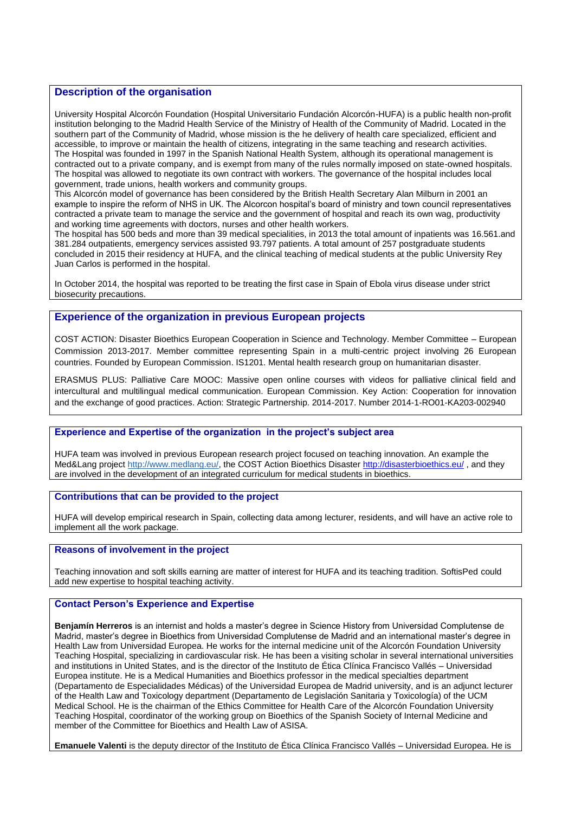## **Description of the organisation**

University Hospital Alcorcón Foundation (Hospital Universitario Fundación Alcorcón-HUFA) is a public health non-profit institution belonging to the Madrid Health Service of the Ministry of Health of the Community of Madrid. Located in the southern part of the Community of Madrid, whose mission is the he delivery of health care specialized, efficient and accessible, to improve or maintain the health of citizens, integrating in the same teaching and research activities. The Hospital was founded in 1997 in the Spanish National Health System, although its operational management is contracted out to a private company, and is exempt from many of the rules normally imposed on state-owned hospitals. The hospital was allowed to negotiate its own contract with workers. The governance of the hospital includes local government, trade unions, health workers and community groups.

This Alcorcón model of governance has been considered by the British Health Secretary Alan Milburn in 2001 an example to inspire the reform of NHS in UK. The Alcorcon hospital's board of ministry and town council representatives contracted a private team to manage the service and the government of hospital and reach its own wag, productivity and working time agreements with doctors, nurses and other health workers.

The hospital has 500 beds and more than 39 medical specialities, in 2013 the total amount of inpatients was 16.561.and 381.284 outpatients, emergency services assisted 93.797 patients. A total amount of 257 postgraduate students concluded in 2015 their residency at HUFA, and the clinical teaching of medical students at the public University Rey Juan Carlos is performed in the hospital.

In October 2014, the hospital was reported to be treating the first case in Spain of Ebola virus disease under strict biosecurity precautions.

## **Experience of the organization in previous European projects**

COST ACTION: Disaster Bioethics European Cooperation in Science and Technology. Member Committee – European Commission 2013-2017. Member committee representing Spain in a multi-centric project involving 26 European countries. Founded by European Commission. IS1201. Mental health research group on humanitarian disaster.

ERASMUS PLUS: Palliative Care MOOC: Massive open online courses with videos for palliative clinical field and intercultural and multilingual medical communication. European Commission. Key Action: Cooperation for innovation and the exchange of good practices. Action: Strategic Partnership. 2014-2017. Number 2014-1-RO01-KA203-002940

## **Experience and Expertise of the organization in the project's subject area**

HUFA team was involved in previous European research project focused on teaching innovation. An example the Med&Lang project [http://www.medlang.eu/,](http://www.medlang.eu/) the COST Action Bioethics Disaster<http://disasterbioethics.eu/> , and they are involved in the development of an integrated curriculum for medical students in bioethics.

#### **Contributions that can be provided to the project**

HUFA will develop empirical research in Spain, collecting data among lecturer, residents, and will have an active role to implement all the work package.

#### **Reasons of involvement in the project**

Teaching innovation and soft skills earning are matter of interest for HUFA and its teaching tradition. SoftisPed could add new expertise to hospital teaching activity.

## **Contact Person's Experience and Expertise**

**Benjamín Herreros** is an internist and holds a master's degree in Science History from Universidad Complutense de Madrid, master's degree in Bioethics from Universidad Complutense de Madrid and an international master's degree in Health Law from Universidad Europea. He works for the internal medicine unit of the Alcorcón Foundation University Teaching Hospital, specializing in cardiovascular risk. He has been a visiting scholar in several international universities and institutions in United States, and is the director of the Instituto de Ética Clínica Francisco Vallés – Universidad Europea institute. He is a Medical Humanities and Bioethics professor in the medical specialties department (Departamento de Especialidades Médicas) of the Universidad Europea de Madrid university, and is an adjunct lecturer of the Health Law and Toxicology department (Departamento de Legislación Sanitaria y Toxicología) of the UCM Medical School. He is the chairman of the Ethics Committee for Health Care of the Alcorcón Foundation University Teaching Hospital, coordinator of the working group on Bioethics of the Spanish Society of Internal Medicine and member of the Committee for Bioethics and Health Law of ASISA.

**Emanuele Valenti** is the deputy director of the Instituto de Ética Clínica Francisco Vallés – Universidad Europea. He is